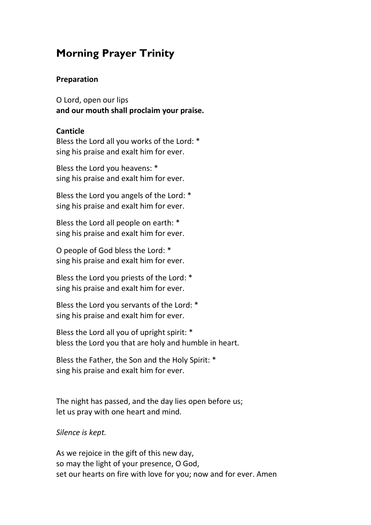# **Morning Prayer Trinity**

#### **Preparation**

O Lord, open our lips **and our mouth shall proclaim your praise.** 

#### **Canticle**

Bless the Lord all you works of the Lord: \* sing his praise and exalt him for ever.

Bless the Lord you heavens: \* sing his praise and exalt him for ever.

Bless the Lord you angels of the Lord: \* sing his praise and exalt him for ever.

Bless the Lord all people on earth: \* sing his praise and exalt him for ever.

O people of God bless the Lord: \* sing his praise and exalt him for ever.

Bless the Lord you priests of the Lord: \* sing his praise and exalt him for ever.

Bless the Lord you servants of the Lord: \* sing his praise and exalt him for ever.

Bless the Lord all you of upright spirit: \* bless the Lord you that are holy and humble in heart.

Bless the Father, the Son and the Holy Spirit: \* sing his praise and exalt him for ever.

The night has passed, and the day lies open before us; let us pray with one heart and mind.

*Silence is kept.* 

As we rejoice in the gift of this new day, so may the light of your presence, O God, set our hearts on fire with love for you; now and for ever. Amen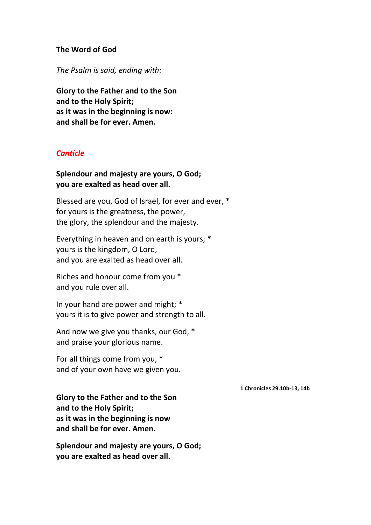#### **The Word of God**

*The Psalm is said, ending with:* 

**Glory to the Father and to the Son and to the Holy Spirit; as it was in the beginning is now: and shall be for ever. Amen.** 

### *Canticle*

### **Splendour and majesty are yours, O God; you are exalted as head over all.**

Blessed are you, God of Israel, for ever and ever, \* for yours is the greatness, the power, the glory, the splendour and the majesty.

Everything in heaven and on earth is yours; \* yours is the kingdom, O Lord, and you are exalted as head over all.

Riches and honour come from you \* and you rule over all.

In your hand are power and might; \* yours it is to give power and strength to all.

And now we give you thanks, our God, \* and praise your glorious name.

For all things come from you, \* and of your own have we given you.

 **1 Chronicles 29.10b-13, 14b** 

**Glory to the Father and to the Son and to the Holy Spirit; as it was in the beginning is now and shall be for ever. Amen.** 

**Splendour and majesty are yours, O God; you are exalted as head over all.**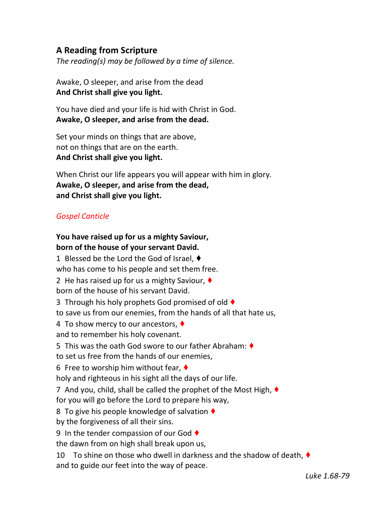# **A Reading from Scripture**

*The reading(s) may be followed by a time of silence.* 

Awake, O sleeper, and arise from the dead **And Christ shall give you light.** 

You have died and your life is hid with Christ in God. **Awake, O sleeper, and arise from the dead.** 

Set your minds on things that are above, not on things that are on the earth. **And Christ shall give you light.** 

When Christ our life appears you will appear with him in glory. **Awake, O sleeper, and arise from the dead, and Christ shall give you light.**

## *Gospel Canticle*

# **You have raised up for us a mighty Saviour, born of the house of your servant David.**

1 Blessed be the Lord the God of Israel, ♦ who has come to his people and set them free. 2 He has raised up for us a mighty Saviour, ♦ born of the house of his servant David. 3 Through his holy prophets God promised of old ♦ to save us from our enemies, from the hands of all that hate us, 4 To show mercy to our ancestors, ♦ and to remember his holy covenant. 5 This was the oath God swore to our father Abraham: ♦ to set us free from the hands of our enemies, 6 Free to worship him without fear,  $\blacklozenge$ holy and righteous in his sight all the days of our life. 7 And you, child, shall be called the prophet of the Most High, ♦ for you will go before the Lord to prepare his way, 8 To give his people knowledge of salvation ♦ by the forgiveness of all their sins. 9 In the tender compassion of our God ♦ the dawn from on high shall break upon us, 10 To shine on those who dwell in darkness and the shadow of death, ♦ and to guide our feet into the way of peace.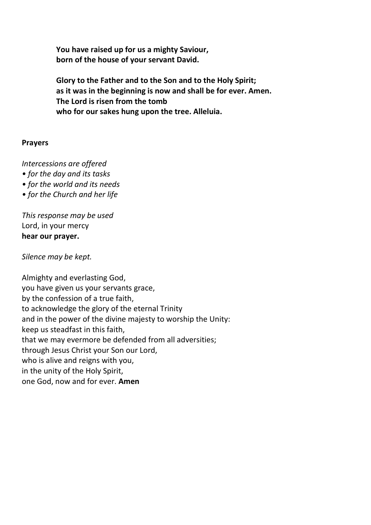**You have raised up for us a mighty Saviour, born of the house of your servant David.** 

**Glory to the Father and to the Son and to the Holy Spirit; as it was in the beginning is now and shall be for ever. Amen. The Lord is risen from the tomb who for our sakes hung upon the tree. Alleluia.** 

### **Prayers**

*Intercessions are offered* 

- *for the day and its tasks*
- *for the world and its needs*
- *for the Church and her life*

*This response may be used*  Lord, in your mercy **hear our prayer.** 

*Silence may be kept.* 

Almighty and everlasting God, you have given us your servants grace, by the confession of a true faith, to acknowledge the glory of the eternal Trinity and in the power of the divine majesty to worship the Unity: keep us steadfast in this faith, that we may evermore be defended from all adversities; through Jesus Christ your Son our Lord, who is alive and reigns with you, in the unity of the Holy Spirit, one God, now and for ever. **Amen**